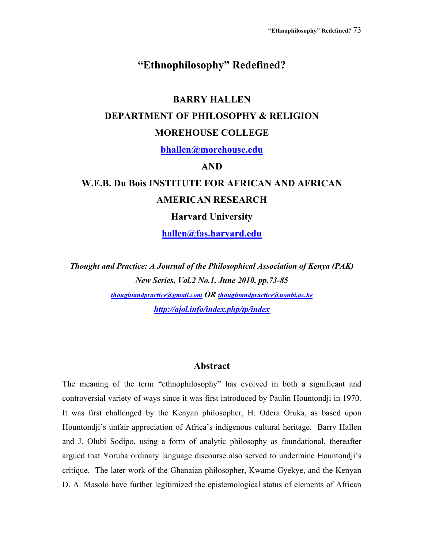# **"Ethnophilosophy" Redefined?**

# **BARRY HALLEN**

# **DEPARTMENT OF PHILOSOPHY & RELIGION**

# **MOREHOUSE COLLEGE**

**bhallen@morehouse.edu**

#### **AND**

# **W.E.B. Du Bois INSTITUTE FOR AFRICAN AND AFRICAN AMERICAN RESEARCH**

**Harvard University**

**hallen@fas.harvard.edu**

*Thought and Practice: A Journal of the Philosophical Association of Kenya (PAK) New Series, Vol.2 No.1, June 2010, pp.73-85 thoughtandpractice@gmail.com OR thoughtandpractice@uonbi.ac.ke http://ajol.info/index.php/tp/index*

#### **Abstract**

The meaning of the term "ethnophilosophy" has evolved in both a significant and controversial variety of ways since it was first introduced by Paulin Hountondji in 1970. It was first challenged by the Kenyan philosopher, H. Odera Oruka, as based upon Hountondji's unfair appreciation of Africa's indigenous cultural heritage. Barry Hallen and J. Olubi Sodipo, using a form of analytic philosophy as foundational, thereafter argued that Yoruba ordinary language discourse also served to undermine Hountondji's critique. The later work of the Ghanaian philosopher, Kwame Gyekye, and the Kenyan D. A. Masolo have further legitimized the epistemological status of elements of African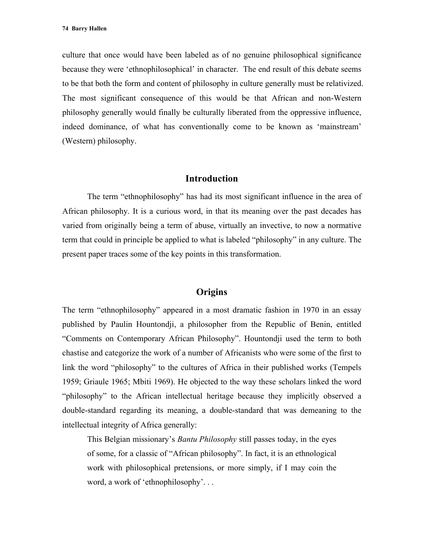culture that once would have been labeled as of no genuine philosophical significance because they were 'ethnophilosophical' in character. The end result of this debate seems to be that both the form and content of philosophy in culture generally must be relativized. The most significant consequence of this would be that African and non-Western philosophy generally would finally be culturally liberated from the oppressive influence, indeed dominance, of what has conventionally come to be known as 'mainstream' (Western) philosophy.

# **Introduction**

The term "ethnophilosophy" has had its most significant influence in the area of African philosophy. It is a curious word, in that its meaning over the past decades has varied from originally being a term of abuse, virtually an invective, to now a normative term that could in principle be applied to what is labeled "philosophy" in any culture. The present paper traces some of the key points in this transformation.

#### **Origins**

The term "ethnophilosophy" appeared in a most dramatic fashion in 1970 in an essay published by Paulin Hountondji, a philosopher from the Republic of Benin, entitled "Comments on Contemporary African Philosophy". Hountondji used the term to both chastise and categorize the work of a number of Africanists who were some of the first to link the word "philosophy" to the cultures of Africa in their published works (Tempels 1959; Griaule 1965; Mbiti 1969). He objected to the way these scholars linked the word "philosophy" to the African intellectual heritage because they implicitly observed a double-standard regarding its meaning, a double-standard that was demeaning to the intellectual integrity of Africa generally:

This Belgian missionary's *Bantu Philosophy* still passes today, in the eyes of some, for a classic of "African philosophy". In fact, it is an ethnological work with philosophical pretensions, or more simply, if I may coin the word, a work of 'ethnophilosophy'. . .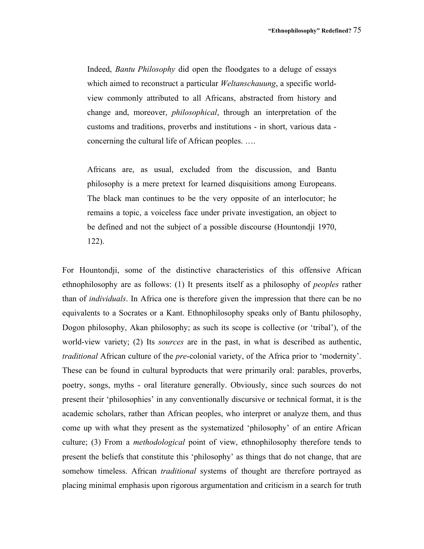Indeed, *Bantu Philosophy* did open the floodgates to a deluge of essays which aimed to reconstruct a particular *Weltanschauung*, a specific worldview commonly attributed to all Africans, abstracted from history and change and, moreover, *philosophical*, through an interpretation of the customs and traditions, proverbs and institutions - in short, various data concerning the cultural life of African peoples. ….

Africans are, as usual, excluded from the discussion, and Bantu philosophy is a mere pretext for learned disquisitions among Europeans. The black man continues to be the very opposite of an interlocutor; he remains a topic, a voiceless face under private investigation, an object to be defined and not the subject of a possible discourse (Hountondji 1970, 122).

For Hountondji, some of the distinctive characteristics of this offensive African ethnophilosophy are as follows: (1) It presents itself as a philosophy of *peoples* rather than of *individuals*. In Africa one is therefore given the impression that there can be no equivalents to a Socrates or a Kant. Ethnophilosophy speaks only of Bantu philosophy, Dogon philosophy, Akan philosophy; as such its scope is collective (or 'tribal'), of the world-view variety; (2) Its *sources* are in the past, in what is described as authentic, *traditional* African culture of the *pre*-colonial variety, of the Africa prior to 'modernity'. These can be found in cultural byproducts that were primarily oral: parables, proverbs, poetry, songs, myths - oral literature generally. Obviously, since such sources do not present their 'philosophies' in any conventionally discursive or technical format, it is the academic scholars, rather than African peoples, who interpret or analyze them, and thus come up with what they present as the systematized 'philosophy' of an entire African culture; (3) From a *methodological* point of view, ethnophilosophy therefore tends to present the beliefs that constitute this 'philosophy' as things that do not change, that are somehow timeless. African *traditional* systems of thought are therefore portrayed as placing minimal emphasis upon rigorous argumentation and criticism in a search for truth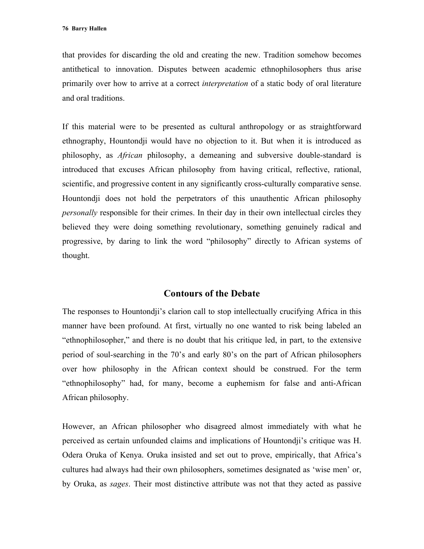that provides for discarding the old and creating the new. Tradition somehow becomes antithetical to innovation. Disputes between academic ethnophilosophers thus arise primarily over how to arrive at a correct *interpretation* of a static body of oral literature and oral traditions.

If this material were to be presented as cultural anthropology or as straightforward ethnography, Hountondji would have no objection to it. But when it is introduced as philosophy, as *African* philosophy, a demeaning and subversive double-standard is introduced that excuses African philosophy from having critical, reflective, rational, scientific, and progressive content in any significantly cross-culturally comparative sense. Hountondji does not hold the perpetrators of this unauthentic African philosophy *personally* responsible for their crimes. In their day in their own intellectual circles they believed they were doing something revolutionary, something genuinely radical and progressive, by daring to link the word "philosophy" directly to African systems of thought.

# **Contours of the Debate**

The responses to Hountondji's clarion call to stop intellectually crucifying Africa in this manner have been profound. At first, virtually no one wanted to risk being labeled an "ethnophilosopher," and there is no doubt that his critique led, in part, to the extensive period of soul-searching in the 70's and early 80's on the part of African philosophers over how philosophy in the African context should be construed. For the term "ethnophilosophy" had, for many, become a euphemism for false and anti-African African philosophy.

However, an African philosopher who disagreed almost immediately with what he perceived as certain unfounded claims and implications of Hountondji's critique was H. Odera Oruka of Kenya. Oruka insisted and set out to prove, empirically, that Africa's cultures had always had their own philosophers, sometimes designated as 'wise men' or, by Oruka, as *sages*. Their most distinctive attribute was not that they acted as passive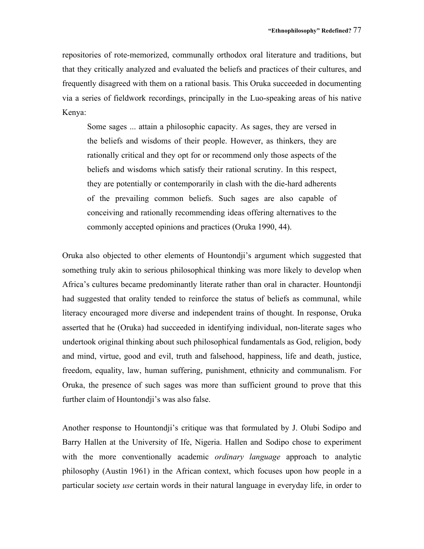repositories of rote-memorized, communally orthodox oral literature and traditions, but that they critically analyzed and evaluated the beliefs and practices of their cultures, and frequently disagreed with them on a rational basis. This Oruka succeeded in documenting via a series of fieldwork recordings, principally in the Luo-speaking areas of his native Kenya:

Some sages ... attain a philosophic capacity. As sages, they are versed in the beliefs and wisdoms of their people. However, as thinkers, they are rationally critical and they opt for or recommend only those aspects of the beliefs and wisdoms which satisfy their rational scrutiny. In this respect, they are potentially or contemporarily in clash with the die-hard adherents of the prevailing common beliefs. Such sages are also capable of conceiving and rationally recommending ideas offering alternatives to the commonly accepted opinions and practices (Oruka 1990, 44).

Oruka also objected to other elements of Hountondji's argument which suggested that something truly akin to serious philosophical thinking was more likely to develop when Africa's cultures became predominantly literate rather than oral in character. Hountondji had suggested that orality tended to reinforce the status of beliefs as communal, while literacy encouraged more diverse and independent trains of thought. In response, Oruka asserted that he (Oruka) had succeeded in identifying individual, non-literate sages who undertook original thinking about such philosophical fundamentals as God, religion, body and mind, virtue, good and evil, truth and falsehood, happiness, life and death, justice, freedom, equality, law, human suffering, punishment, ethnicity and communalism. For Oruka, the presence of such sages was more than sufficient ground to prove that this further claim of Hountondji's was also false.

Another response to Hountondji's critique was that formulated by J. Olubi Sodipo and Barry Hallen at the University of Ife, Nigeria. Hallen and Sodipo chose to experiment with the more conventionally academic *ordinary language* approach to analytic philosophy (Austin 1961) in the African context, which focuses upon how people in a particular society *use* certain words in their natural language in everyday life, in order to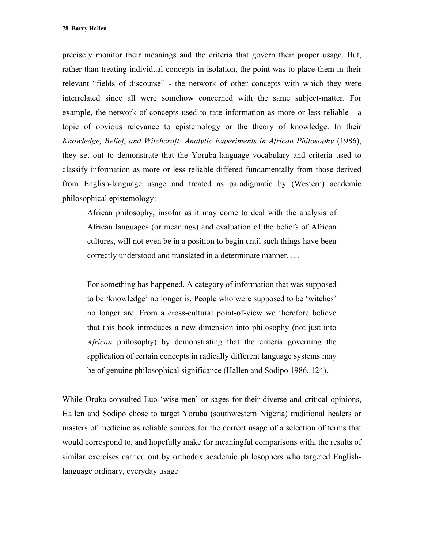precisely monitor their meanings and the criteria that govern their proper usage. But, rather than treating individual concepts in isolation, the point was to place them in their relevant "fields of discourse" - the network of other concepts with which they were interrelated since all were somehow concerned with the same subject-matter. For example, the network of concepts used to rate information as more or less reliable - a topic of obvious relevance to epistemology or the theory of knowledge. In their *Knowledge, Belief, and Witchcraft: Analytic Experiments in African Philosophy* (1986), they set out to demonstrate that the Yoruba-language vocabulary and criteria used to classify information as more or less reliable differed fundamentally from those derived from English-language usage and treated as paradigmatic by (Western) academic philosophical epistemology:

African philosophy, insofar as it may come to deal with the analysis of African languages (or meanings) and evaluation of the beliefs of African cultures, will not even be in a position to begin until such things have been correctly understood and translated in a determinate manner. ....

For something has happened. A category of information that was supposed to be 'knowledge' no longer is. People who were supposed to be 'witches' no longer are. From a cross-cultural point-of-view we therefore believe that this book introduces a new dimension into philosophy (not just into *African* philosophy) by demonstrating that the criteria governing the application of certain concepts in radically different language systems may be of genuine philosophical significance (Hallen and Sodipo 1986, 124).

While Oruka consulted Luo 'wise men' or sages for their diverse and critical opinions, Hallen and Sodipo chose to target Yoruba (southwestern Nigeria) traditional healers or masters of medicine as reliable sources for the correct usage of a selection of terms that would correspond to, and hopefully make for meaningful comparisons with, the results of similar exercises carried out by orthodox academic philosophers who targeted Englishlanguage ordinary, everyday usage.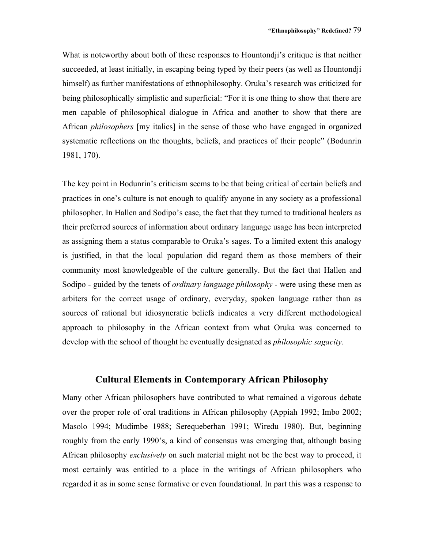What is noteworthy about both of these responses to Hountondji's critique is that neither succeeded, at least initially, in escaping being typed by their peers (as well as Hountondji himself) as further manifestations of ethnophilosophy. Oruka's research was criticized for being philosophically simplistic and superficial: "For it is one thing to show that there are men capable of philosophical dialogue in Africa and another to show that there are African *philosophers* [my italics] in the sense of those who have engaged in organized systematic reflections on the thoughts, beliefs, and practices of their people" (Bodunrin 1981, 170).

The key point in Bodunrin's criticism seems to be that being critical of certain beliefs and practices in one's culture is not enough to qualify anyone in any society as a professional philosopher. In Hallen and Sodipo's case, the fact that they turned to traditional healers as their preferred sources of information about ordinary language usage has been interpreted as assigning them a status comparable to Oruka's sages. To a limited extent this analogy is justified, in that the local population did regard them as those members of their community most knowledgeable of the culture generally. But the fact that Hallen and Sodipo - guided by the tenets of *ordinary language philosophy -* were using these men as arbiters for the correct usage of ordinary, everyday, spoken language rather than as sources of rational but idiosyncratic beliefs indicates a very different methodological approach to philosophy in the African context from what Oruka was concerned to develop with the school of thought he eventually designated as *philosophic sagacity*.

#### **Cultural Elements in Contemporary African Philosophy**

Many other African philosophers have contributed to what remained a vigorous debate over the proper role of oral traditions in African philosophy (Appiah 1992; Imbo 2002; Masolo 1994; Mudimbe 1988; Serequeberhan 1991; Wiredu 1980). But, beginning roughly from the early 1990's, a kind of consensus was emerging that, although basing African philosophy *exclusively* on such material might not be the best way to proceed, it most certainly was entitled to a place in the writings of African philosophers who regarded it as in some sense formative or even foundational. In part this was a response to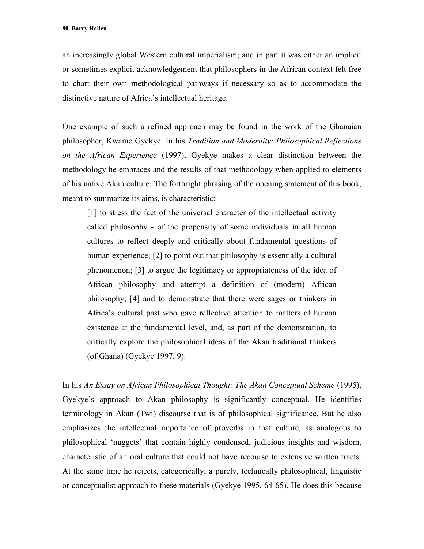an increasingly global Western cultural imperialism; and in part it was either an implicit or sometimes explicit acknowledgement that philosophers in the African context felt free to chart their own methodological pathways if necessary so as to accommodate the distinctive nature of Africa's intellectual heritage.

One example of such a refined approach may be found in the work of the Ghanaian philosopher, Kwame Gyekye. In his *Tradition and Modernity: Philosophical Reflections on the African Experience* (1997), Gyekye makes a clear distinction between the methodology he embraces and the results of that methodology when applied to elements of his native Akan culture. The forthright phrasing of the opening statement of this book, meant to summarize its aims, is characteristic:

[1] to stress the fact of the universal character of the intellectual activity called philosophy - of the propensity of some individuals in all human cultures to reflect deeply and critically about fundamental questions of human experience; [2] to point out that philosophy is essentially a cultural phenomenon; [3] to argue the legitimacy or appropriateness of the idea of African philosophy and attempt a definition of (modern) African philosophy; [4] and to demonstrate that there were sages or thinkers in Africa's cultural past who gave reflective attention to matters of human existence at the fundamental level, and, as part of the demonstration, to critically explore the philosophical ideas of the Akan traditional thinkers (of Ghana) (Gyekye 1997, 9).

In his *An Essay on African Philosophical Thought: The Akan Conceptual Scheme* (1995), Gyekye's approach to Akan philosophy is significantly conceptual. He identifies terminology in Akan (Twi) discourse that is of philosophical significance. But he also emphasizes the intellectual importance of proverbs in that culture, as analogous to philosophical 'nuggets' that contain highly condensed, judicious insights and wisdom, characteristic of an oral culture that could not have recourse to extensive written tracts. At the same time he rejects, categorically, a purely, technically philosophical, linguistic or conceptualist approach to these materials (Gyekye 1995, 64-65). He does this because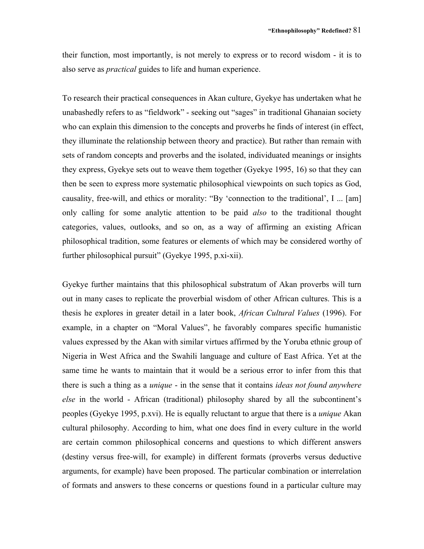their function, most importantly, is not merely to express or to record wisdom - it is to also serve as *practical* guides to life and human experience.

To research their practical consequences in Akan culture, Gyekye has undertaken what he unabashedly refers to as "fieldwork" - seeking out "sages" in traditional Ghanaian society who can explain this dimension to the concepts and proverbs he finds of interest (in effect, they illuminate the relationship between theory and practice). But rather than remain with sets of random concepts and proverbs and the isolated, individuated meanings or insights they express, Gyekye sets out to weave them together (Gyekye 1995, 16) so that they can then be seen to express more systematic philosophical viewpoints on such topics as God, causality, free-will, and ethics or morality: "By 'connection to the traditional', I ... [am] only calling for some analytic attention to be paid *also* to the traditional thought categories, values, outlooks, and so on, as a way of affirming an existing African philosophical tradition, some features or elements of which may be considered worthy of further philosophical pursuit" (Gyekye 1995, p.xi-xii).

Gyekye further maintains that this philosophical substratum of Akan proverbs will turn out in many cases to replicate the proverbial wisdom of other African cultures. This is a thesis he explores in greater detail in a later book, *African Cultural Values* (1996). For example, in a chapter on "Moral Values", he favorably compares specific humanistic values expressed by the Akan with similar virtues affirmed by the Yoruba ethnic group of Nigeria in West Africa and the Swahili language and culture of East Africa. Yet at the same time he wants to maintain that it would be a serious error to infer from this that there is such a thing as a *unique* - in the sense that it contains *ideas not found anywhere else* in the world - African (traditional) philosophy shared by all the subcontinent's peoples (Gyekye 1995, p.xvi). He is equally reluctant to argue that there is a *unique* Akan cultural philosophy. According to him, what one does find in every culture in the world are certain common philosophical concerns and questions to which different answers (destiny versus free-will, for example) in different formats (proverbs versus deductive arguments, for example) have been proposed. The particular combination or interrelation of formats and answers to these concerns or questions found in a particular culture may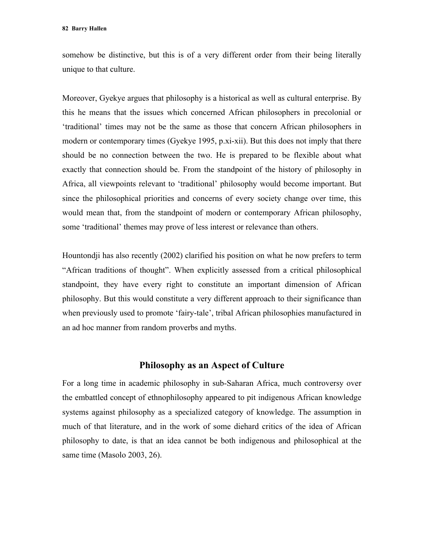somehow be distinctive, but this is of a very different order from their being literally unique to that culture.

Moreover, Gyekye argues that philosophy is a historical as well as cultural enterprise. By this he means that the issues which concerned African philosophers in precolonial or 'traditional' times may not be the same as those that concern African philosophers in modern or contemporary times (Gyekye 1995, p.xi-xii). But this does not imply that there should be no connection between the two. He is prepared to be flexible about what exactly that connection should be. From the standpoint of the history of philosophy in Africa, all viewpoints relevant to 'traditional' philosophy would become important. But since the philosophical priorities and concerns of every society change over time, this would mean that, from the standpoint of modern or contemporary African philosophy, some 'traditional' themes may prove of less interest or relevance than others.

Hountondji has also recently (2002) clarified his position on what he now prefers to term "African traditions of thought". When explicitly assessed from a critical philosophical standpoint, they have every right to constitute an important dimension of African philosophy. But this would constitute a very different approach to their significance than when previously used to promote 'fairy-tale', tribal African philosophies manufactured in an ad hoc manner from random proverbs and myths.

#### **Philosophy as an Aspect of Culture**

For a long time in academic philosophy in sub-Saharan Africa, much controversy over the embattled concept of ethnophilosophy appeared to pit indigenous African knowledge systems against philosophy as a specialized category of knowledge. The assumption in much of that literature, and in the work of some diehard critics of the idea of African philosophy to date, is that an idea cannot be both indigenous and philosophical at the same time (Masolo 2003, 26).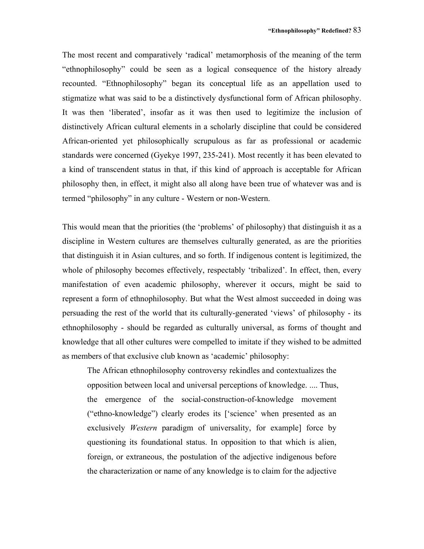The most recent and comparatively 'radical' metamorphosis of the meaning of the term "ethnophilosophy" could be seen as a logical consequence of the history already recounted. "Ethnophilosophy" began its conceptual life as an appellation used to stigmatize what was said to be a distinctively dysfunctional form of African philosophy. It was then 'liberated', insofar as it was then used to legitimize the inclusion of distinctively African cultural elements in a scholarly discipline that could be considered African-oriented yet philosophically scrupulous as far as professional or academic standards were concerned (Gyekye 1997, 235-241). Most recently it has been elevated to a kind of transcendent status in that, if this kind of approach is acceptable for African philosophy then, in effect, it might also all along have been true of whatever was and is termed "philosophy" in any culture - Western or non-Western.

This would mean that the priorities (the 'problems' of philosophy) that distinguish it as a discipline in Western cultures are themselves culturally generated, as are the priorities that distinguish it in Asian cultures, and so forth. If indigenous content is legitimized, the whole of philosophy becomes effectively, respectably 'tribalized'. In effect, then, every manifestation of even academic philosophy, wherever it occurs, might be said to represent a form of ethnophilosophy. But what the West almost succeeded in doing was persuading the rest of the world that its culturally-generated 'views' of philosophy - its ethnophilosophy - should be regarded as culturally universal, as forms of thought and knowledge that all other cultures were compelled to imitate if they wished to be admitted as members of that exclusive club known as 'academic' philosophy:

The African ethnophilosophy controversy rekindles and contextualizes the opposition between local and universal perceptions of knowledge. .... Thus, the emergence of the social-construction-of-knowledge movement ("ethno-knowledge") clearly erodes its ['science' when presented as an exclusively *Western* paradigm of universality, for example] force by questioning its foundational status. In opposition to that which is alien, foreign, or extraneous, the postulation of the adjective indigenous before the characterization or name of any knowledge is to claim for the adjective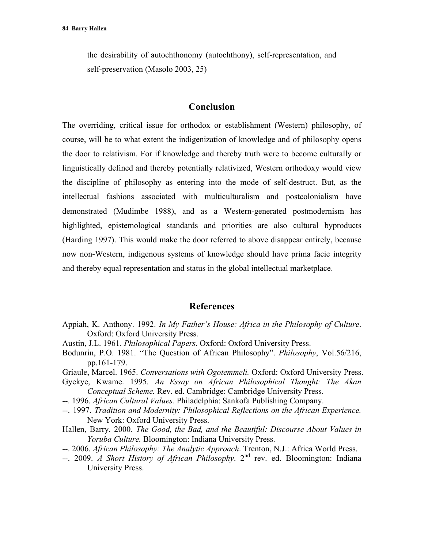the desirability of autochthonomy (autochthony), self-representation, and self-preservation (Masolo 2003, 25)

#### **Conclusion**

The overriding, critical issue for orthodox or establishment (Western) philosophy, of course, will be to what extent the indigenization of knowledge and of philosophy opens the door to relativism. For if knowledge and thereby truth were to become culturally or linguistically defined and thereby potentially relativized, Western orthodoxy would view the discipline of philosophy as entering into the mode of self-destruct. But, as the intellectual fashions associated with multiculturalism and postcolonialism have demonstrated (Mudimbe 1988), and as a Western-generated postmodernism has highlighted, epistemological standards and priorities are also cultural byproducts (Harding 1997). This would make the door referred to above disappear entirely, because now non-Western, indigenous systems of knowledge should have prima facie integrity and thereby equal representation and status in the global intellectual marketplace.

# **References**

- Appiah, K. Anthony. 1992. *In My Father's House: Africa in the Philosophy of Culture*. Oxford: Oxford University Press.
- Austin, J.L. 1961. *Philosophical Papers*. Oxford: Oxford University Press.
- Bodunrin, P.O. 1981. "The Question of African Philosophy". *Philosophy*, Vol.56/216, pp.161-179.
- Griaule, Marcel. 1965. *Conversations with Ogotemmeli.* Oxford: Oxford University Press.
- Gyekye, Kwame. 1995. *An Essay on African Philosophical Thought: The Akan Conceptual Scheme.* Rev. ed. Cambridge: Cambridge University Press.
- --. 1996. *African Cultural Values.* Philadelphia: Sankofa Publishing Company.
- --. 1997. *Tradition and Modernity: Philosophical Reflections on the African Experience.* New York: Oxford University Press.
- Hallen, Barry. 2000. *The Good, the Bad, and the Beautiful: Discourse About Values in Yoruba Culture.* Bloomington: Indiana University Press.
- --. 2006. *African Philosophy: The Analytic Approach*. Trenton, N.J.: Africa World Press.
- --. 2009. *A Short History of African Philosophy*. 2nd rev. ed. Bloomington: Indiana University Press.